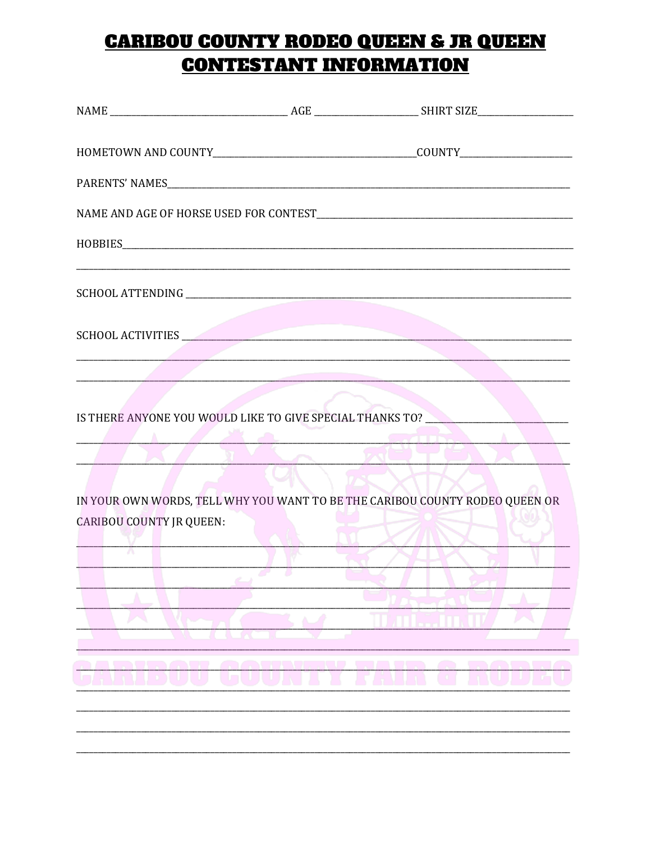### **CARIBOU COUNTY RODEO QUEEN & JR QUEEN CONTESTANT INFORMATION**

| SCHOOL ACTIVITIES               |                                                                                                                                                                                                                                                                                                   |
|---------------------------------|---------------------------------------------------------------------------------------------------------------------------------------------------------------------------------------------------------------------------------------------------------------------------------------------------|
|                                 |                                                                                                                                                                                                                                                                                                   |
|                                 | IS THERE ANYONE YOU WOULD LIKE TO GIVE SPECIAL THANKS TO?<br><b>Example 200 and 10 and 10 years of the Contract of the Contract of the Contract of the Contract of the Contract of the Contract of the Contract of the Contract of the Contract of the Contract of the Contract of the Contra</b> |
| <b>CARIBOU COUNTY JR QUEEN:</b> | IN YOUR OWN WORDS, TELL WHY YOU WANT TO BE THE CARIBOU COUNTY RODEO QUEEN OR                                                                                                                                                                                                                      |
|                                 |                                                                                                                                                                                                                                                                                                   |
|                                 |                                                                                                                                                                                                                                                                                                   |
| ۹                               |                                                                                                                                                                                                                                                                                                   |
|                                 |                                                                                                                                                                                                                                                                                                   |
|                                 |                                                                                                                                                                                                                                                                                                   |
|                                 |                                                                                                                                                                                                                                                                                                   |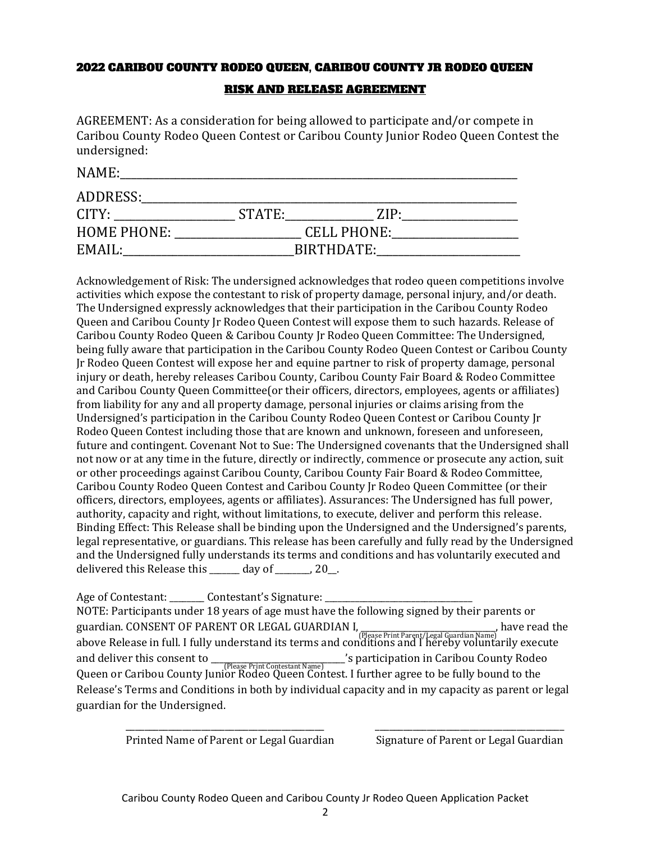#### 2022 CARIBOU COUNTY RODEO QUEEN, CARIBOU COUNTY JR RODEO QUEEN

#### RISK AND RELEASE AGREEMENT

AGREEMENT: As a consideration for being allowed to participate and/or compete in Caribou County Rodeo Queen Contest or Caribou County Junior Rodeo Queen Contest the undersigned:

| NAME:              |            |                    |  |
|--------------------|------------|--------------------|--|
| ADDRESS:           |            |                    |  |
| CITY:              | STATE:     | 7.IP·              |  |
| <b>HOME PHONE:</b> |            | <b>CELL PHONE:</b> |  |
| EMAIL:             | BIRTHDATE: |                    |  |

Acknowledgement of Risk: The undersigned acknowledges that rodeo queen competitions involve activities which expose the contestant to risk of property damage, personal injury, and/or death. The Undersigned expressly acknowledges that their participation in the Caribou County Rodeo Queen and Caribou County Jr Rodeo Queen Contest will expose them to such hazards. Release of Caribou County Rodeo Queen & Caribou County Jr Rodeo Queen Committee: The Undersigned, being fully aware that participation in the Caribou County Rodeo Queen Contest or Caribou County Jr Rodeo Queen Contest will expose her and equine partner to risk of property damage, personal injury or death, hereby releases Caribou County, Caribou County Fair Board & Rodeo Committee and Caribou County Queen Committee(or their officers, directors, employees, agents or affiliates) from liability for any and all property damage, personal injuries or claims arising from the Undersigned's participation in the Caribou County Rodeo Queen Contest or Caribou County Jr Rodeo Queen Contest including those that are known and unknown, foreseen and unforeseen, future and contingent. Covenant Not to Sue: The Undersigned covenants that the Undersigned shall not now or at any time in the future, directly or indirectly, commence or prosecute any action, suit or other proceedings against Caribou County, Caribou County Fair Board & Rodeo Committee, Caribou County Rodeo Queen Contest and Caribou County Jr Rodeo Queen Committee (or their officers, directors, employees, agents or affiliates). Assurances: The Undersigned has full power, authority, capacity and right, without limitations, to execute, deliver and perform this release. Binding Effect: This Release shall be binding upon the Undersigned and the Undersigned's parents, legal representative, or guardians. This release has been carefully and fully read by the Undersigned and the Undersigned fully understands its terms and conditions and has voluntarily executed and delivered this Release this day of  $\qquad \qquad$  , 20.

Age of Contestant: \_\_\_\_\_\_\_\_\_ Contestant's Signature: NOTE: Participants under 18 years of age must have the following signed by their parents or guardian. CONSENT OF PARENT OR LEGAL GUARDIAN I, \_\_\_\_\_\_\_\_\_\_\_\_\_\_\_\_\_\_\_\_\_\_\_\_\_\_\_\_\_\_\_, have read the above Release in full. I fully understand its terms and conditions and I hereby voluntarily execute (Please Print Parent/Legal Guardian Name) and deliver this consent to \_\_\_\_\_\_\_\_\_\_\_\_\_\_\_\_\_\_\_\_\_\_\_\_\_\_\_\_'s participation in Caribou County Rodeo *CPlease Print Contestant Name*)<br>Queen or Caribou County Junior Rodeo Queen Contest. I further agree to be fully bound to the Release's Terms and Conditions in both by individual capacity and in my capacity as parent or legal guardian for the Undersigned.

Printed Name of Parent or Legal Guardian Signature of Parent or Legal Guardian

\_\_\_\_\_\_\_\_\_\_\_\_\_\_\_\_\_\_\_\_\_\_\_\_\_\_\_\_\_\_\_\_\_\_\_\_\_\_\_\_\_\_ \_\_\_\_\_\_\_\_\_\_\_\_\_\_\_\_\_\_\_\_\_\_\_\_\_\_\_\_\_\_\_\_\_\_\_\_\_\_\_\_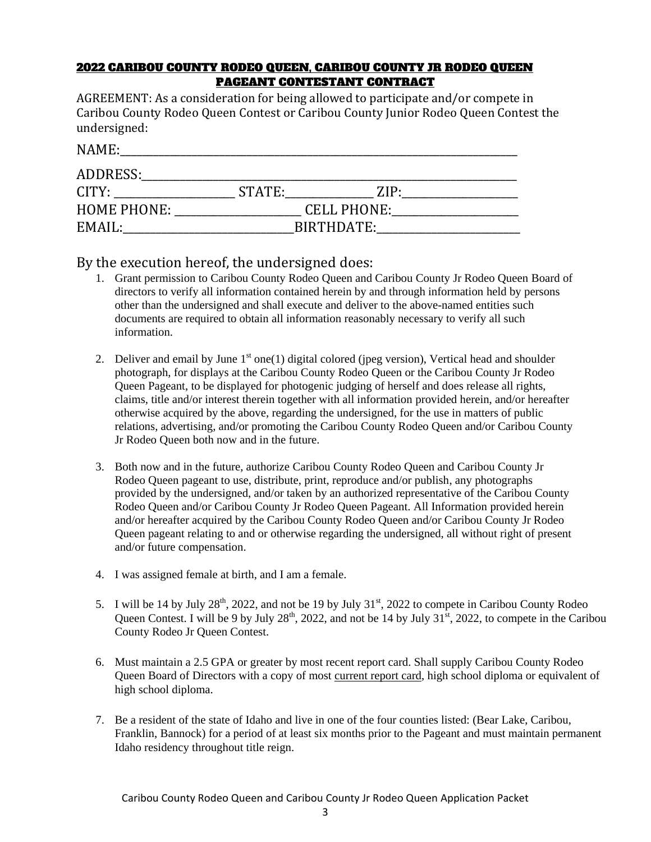#### 2022 CARIBOU COUNTY RODEO QUEEN, CARIBOU COUNTY JR RODEO QUEEN PAGEANT CONTESTANT CONTRACT

AGREEMENT: As a consideration for being allowed to participate and/or compete in Caribou County Rodeo Queen Contest or Caribou County Junior Rodeo Queen Contest the undersigned:

| NAME:              |                    |       |  |
|--------------------|--------------------|-------|--|
| ADDRESS:           |                    |       |  |
| CITY:              | STATE:             | 7.IP· |  |
| <b>HOME PHONE:</b> | <b>CELL PHONE:</b> |       |  |
| EMAIL:             | BIRTHDATE:         |       |  |

#### By the execution hereof, the undersigned does:

- 1. Grant permission to Caribou County Rodeo Queen and Caribou County Jr Rodeo Queen Board of directors to verify all information contained herein by and through information held by persons other than the undersigned and shall execute and deliver to the above-named entities such documents are required to obtain all information reasonably necessary to verify all such information.
- 2. Deliver and email by June  $1<sup>st</sup>$  one(1) digital colored (jpeg version), Vertical head and shoulder photograph, for displays at the Caribou County Rodeo Queen or the Caribou County Jr Rodeo Queen Pageant, to be displayed for photogenic judging of herself and does release all rights, claims, title and/or interest therein together with all information provided herein, and/or hereafter otherwise acquired by the above, regarding the undersigned, for the use in matters of public relations, advertising, and/or promoting the Caribou County Rodeo Queen and/or Caribou County Jr Rodeo Queen both now and in the future.
- 3. Both now and in the future, authorize Caribou County Rodeo Queen and Caribou County Jr Rodeo Queen pageant to use, distribute, print, reproduce and/or publish, any photographs provided by the undersigned, and/or taken by an authorized representative of the Caribou County Rodeo Queen and/or Caribou County Jr Rodeo Queen Pageant. All Information provided herein and/or hereafter acquired by the Caribou County Rodeo Queen and/or Caribou County Jr Rodeo Queen pageant relating to and or otherwise regarding the undersigned, all without right of present and/or future compensation.
- 4. I was assigned female at birth, and I am a female.
- 5. I will be 14 by July  $28<sup>th</sup>$ , 2022, and not be 19 by July  $31<sup>st</sup>$ , 2022 to compete in Caribou County Rodeo Queen Contest. I will be 9 by July  $28<sup>th</sup>$ , 2022, and not be 14 by July  $31<sup>st</sup>$ , 2022, to compete in the Caribou County Rodeo Jr Queen Contest.
- 6. Must maintain a 2.5 GPA or greater by most recent report card. Shall supply Caribou County Rodeo Queen Board of Directors with a copy of most current report card, high school diploma or equivalent of high school diploma.
- 7. Be a resident of the state of Idaho and live in one of the four counties listed: (Bear Lake, Caribou, Franklin, Bannock) for a period of at least six months prior to the Pageant and must maintain permanent Idaho residency throughout title reign.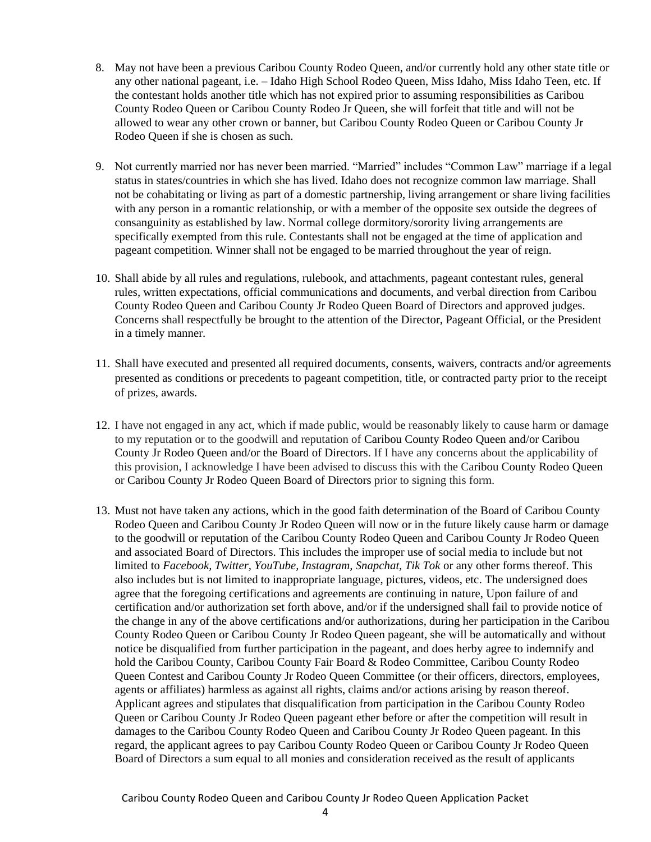- 8. May not have been a previous Caribou County Rodeo Queen, and/or currently hold any other state title or any other national pageant, i.e. – Idaho High School Rodeo Queen, Miss Idaho, Miss Idaho Teen, etc. If the contestant holds another title which has not expired prior to assuming responsibilities as Caribou County Rodeo Queen or Caribou County Rodeo Jr Queen, she will forfeit that title and will not be allowed to wear any other crown or banner, but Caribou County Rodeo Queen or Caribou County Jr Rodeo Queen if she is chosen as such.
- 9. Not currently married nor has never been married. "Married" includes "Common Law" marriage if a legal status in states/countries in which she has lived. Idaho does not recognize common law marriage. Shall not be cohabitating or living as part of a domestic partnership, living arrangement or share living facilities with any person in a romantic relationship, or with a member of the opposite sex outside the degrees of consanguinity as established by law. Normal college dormitory/sorority living arrangements are specifically exempted from this rule. Contestants shall not be engaged at the time of application and pageant competition. Winner shall not be engaged to be married throughout the year of reign.
- 10. Shall abide by all rules and regulations, rulebook, and attachments, pageant contestant rules, general rules, written expectations, official communications and documents, and verbal direction from Caribou County Rodeo Queen and Caribou County Jr Rodeo Queen Board of Directors and approved judges. Concerns shall respectfully be brought to the attention of the Director, Pageant Official, or the President in a timely manner.
- 11. Shall have executed and presented all required documents, consents, waivers, contracts and/or agreements presented as conditions or precedents to pageant competition, title, or contracted party prior to the receipt of prizes, awards.
- 12. I have not engaged in any act, which if made public, would be reasonably likely to cause harm or damage to my reputation or to the goodwill and reputation of Caribou County Rodeo Queen and/or Caribou County Jr Rodeo Queen and/or the Board of Directors. If I have any concerns about the applicability of this provision, I acknowledge I have been advised to discuss this with the Caribou County Rodeo Queen or Caribou County Jr Rodeo Queen Board of Directors prior to signing this form.
- 13. Must not have taken any actions, which in the good faith determination of the Board of Caribou County Rodeo Queen and Caribou County Jr Rodeo Queen will now or in the future likely cause harm or damage to the goodwill or reputation of the Caribou County Rodeo Queen and Caribou County Jr Rodeo Queen and associated Board of Directors. This includes the improper use of social media to include but not limited to *Facebook, Twitter, YouTube, Instagram, Snapchat, Tik Tok* or any other forms thereof. This also includes but is not limited to inappropriate language, pictures, videos, etc. The undersigned does agree that the foregoing certifications and agreements are continuing in nature, Upon failure of and certification and/or authorization set forth above, and/or if the undersigned shall fail to provide notice of the change in any of the above certifications and/or authorizations, during her participation in the Caribou County Rodeo Queen or Caribou County Jr Rodeo Queen pageant, she will be automatically and without notice be disqualified from further participation in the pageant, and does herby agree to indemnify and hold the Caribou County, Caribou County Fair Board & Rodeo Committee, Caribou County Rodeo Queen Contest and Caribou County Jr Rodeo Queen Committee (or their officers, directors, employees, agents or affiliates) harmless as against all rights, claims and/or actions arising by reason thereof. Applicant agrees and stipulates that disqualification from participation in the Caribou County Rodeo Queen or Caribou County Jr Rodeo Queen pageant ether before or after the competition will result in damages to the Caribou County Rodeo Queen and Caribou County Jr Rodeo Queen pageant. In this regard, the applicant agrees to pay Caribou County Rodeo Queen or Caribou County Jr Rodeo Queen Board of Directors a sum equal to all monies and consideration received as the result of applicants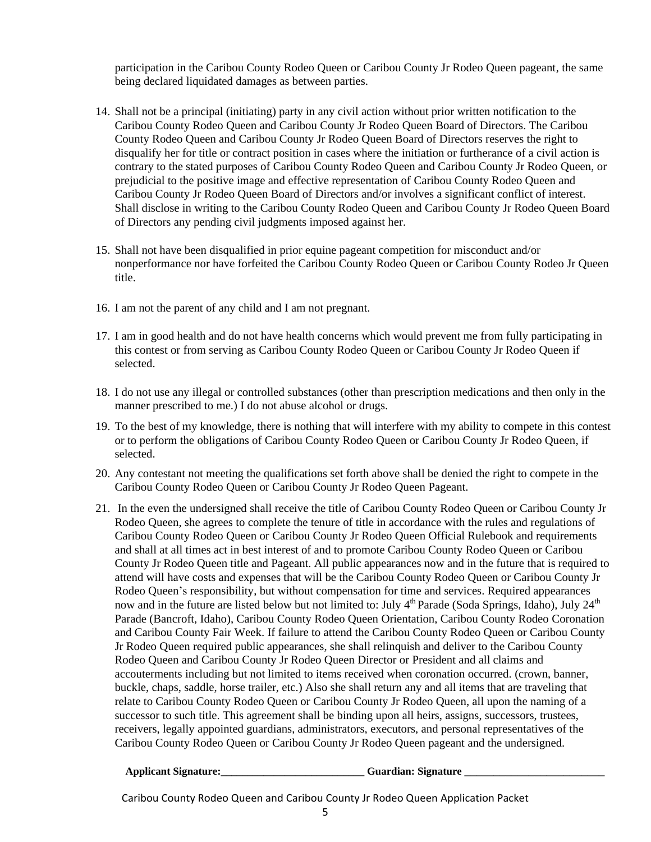participation in the Caribou County Rodeo Queen or Caribou County Jr Rodeo Queen pageant, the same being declared liquidated damages as between parties.

- 14. Shall not be a principal (initiating) party in any civil action without prior written notification to the Caribou County Rodeo Queen and Caribou County Jr Rodeo Queen Board of Directors. The Caribou County Rodeo Queen and Caribou County Jr Rodeo Queen Board of Directors reserves the right to disqualify her for title or contract position in cases where the initiation or furtherance of a civil action is contrary to the stated purposes of Caribou County Rodeo Queen and Caribou County Jr Rodeo Queen, or prejudicial to the positive image and effective representation of Caribou County Rodeo Queen and Caribou County Jr Rodeo Queen Board of Directors and/or involves a significant conflict of interest. Shall disclose in writing to the Caribou County Rodeo Queen and Caribou County Jr Rodeo Queen Board of Directors any pending civil judgments imposed against her.
- 15. Shall not have been disqualified in prior equine pageant competition for misconduct and/or nonperformance nor have forfeited the Caribou County Rodeo Queen or Caribou County Rodeo Jr Queen title.
- 16. I am not the parent of any child and I am not pregnant.
- 17. I am in good health and do not have health concerns which would prevent me from fully participating in this contest or from serving as Caribou County Rodeo Queen or Caribou County Jr Rodeo Queen if selected.
- 18. I do not use any illegal or controlled substances (other than prescription medications and then only in the manner prescribed to me.) I do not abuse alcohol or drugs.
- 19. To the best of my knowledge, there is nothing that will interfere with my ability to compete in this contest or to perform the obligations of Caribou County Rodeo Queen or Caribou County Jr Rodeo Queen, if selected.
- 20. Any contestant not meeting the qualifications set forth above shall be denied the right to compete in the Caribou County Rodeo Queen or Caribou County Jr Rodeo Queen Pageant.
- 21. In the even the undersigned shall receive the title of Caribou County Rodeo Queen or Caribou County Jr Rodeo Queen, she agrees to complete the tenure of title in accordance with the rules and regulations of Caribou County Rodeo Queen or Caribou County Jr Rodeo Queen Official Rulebook and requirements and shall at all times act in best interest of and to promote Caribou County Rodeo Queen or Caribou County Jr Rodeo Queen title and Pageant. All public appearances now and in the future that is required to attend will have costs and expenses that will be the Caribou County Rodeo Queen or Caribou County Jr Rodeo Queen's responsibility, but without compensation for time and services. Required appearances now and in the future are listed below but not limited to: July  $4<sup>th</sup>$  Parade (Soda Springs, Idaho), July  $24<sup>th</sup>$ Parade (Bancroft, Idaho), Caribou County Rodeo Queen Orientation, Caribou County Rodeo Coronation and Caribou County Fair Week. If failure to attend the Caribou County Rodeo Queen or Caribou County Jr Rodeo Queen required public appearances, she shall relinquish and deliver to the Caribou County Rodeo Queen and Caribou County Jr Rodeo Queen Director or President and all claims and accouterments including but not limited to items received when coronation occurred. (crown, banner, buckle, chaps, saddle, horse trailer, etc.) Also she shall return any and all items that are traveling that relate to Caribou County Rodeo Queen or Caribou County Jr Rodeo Queen, all upon the naming of a successor to such title. This agreement shall be binding upon all heirs, assigns, successors, trustees, receivers, legally appointed guardians, administrators, executors, and personal representatives of the Caribou County Rodeo Queen or Caribou County Jr Rodeo Queen pageant and the undersigned.

| <b>Applicant Signature:</b> | <b>Guardian: Signature</b> |
|-----------------------------|----------------------------|
|-----------------------------|----------------------------|

Caribou County Rodeo Queen and Caribou County Jr Rodeo Queen Application Packet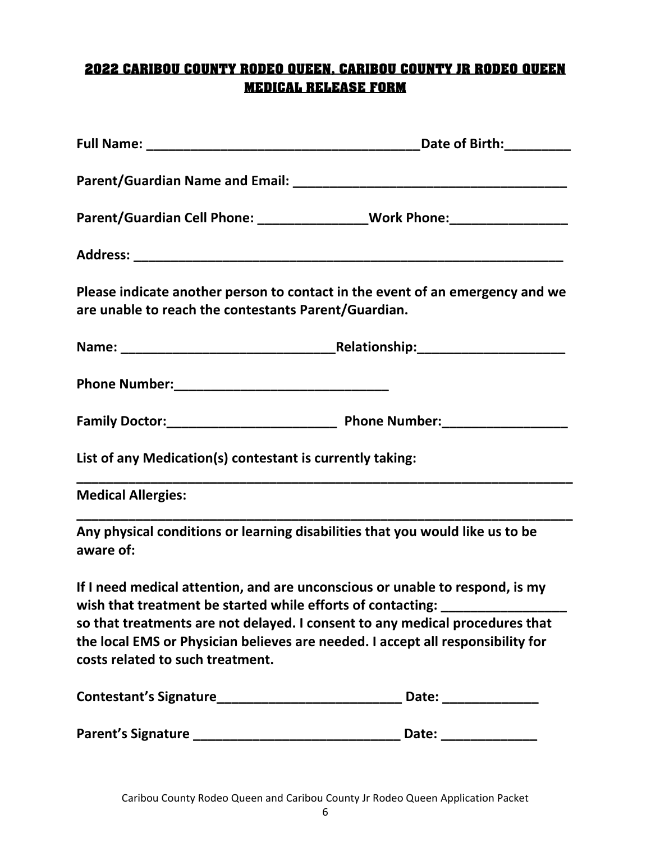#### **2022 CARIBOU COUNTY RODEO QUEEN, CARIBOU COUNTY JR RODEO QUEEN MEDICAL RELEASE FORM**

|                                                           | Parent/Guardian Cell Phone: ___________________Work Phone: _____________________                                                                                                                                                                                                                                                    |
|-----------------------------------------------------------|-------------------------------------------------------------------------------------------------------------------------------------------------------------------------------------------------------------------------------------------------------------------------------------------------------------------------------------|
|                                                           |                                                                                                                                                                                                                                                                                                                                     |
| are unable to reach the contestants Parent/Guardian.      | Please indicate another person to contact in the event of an emergency and we                                                                                                                                                                                                                                                       |
|                                                           |                                                                                                                                                                                                                                                                                                                                     |
|                                                           |                                                                                                                                                                                                                                                                                                                                     |
|                                                           |                                                                                                                                                                                                                                                                                                                                     |
| List of any Medication(s) contestant is currently taking: |                                                                                                                                                                                                                                                                                                                                     |
| <b>Medical Allergies:</b>                                 |                                                                                                                                                                                                                                                                                                                                     |
| aware of:                                                 | Any physical conditions or learning disabilities that you would like us to be                                                                                                                                                                                                                                                       |
| costs related to such treatment.                          | If I need medical attention, and are unconscious or unable to respond, is my<br>wish that treatment be started while efforts of contacting: ____________________<br>so that treatments are not delayed. I consent to any medical procedures that<br>the local EMS or Physician believes are needed. I accept all responsibility for |
|                                                           |                                                                                                                                                                                                                                                                                                                                     |
|                                                           |                                                                                                                                                                                                                                                                                                                                     |